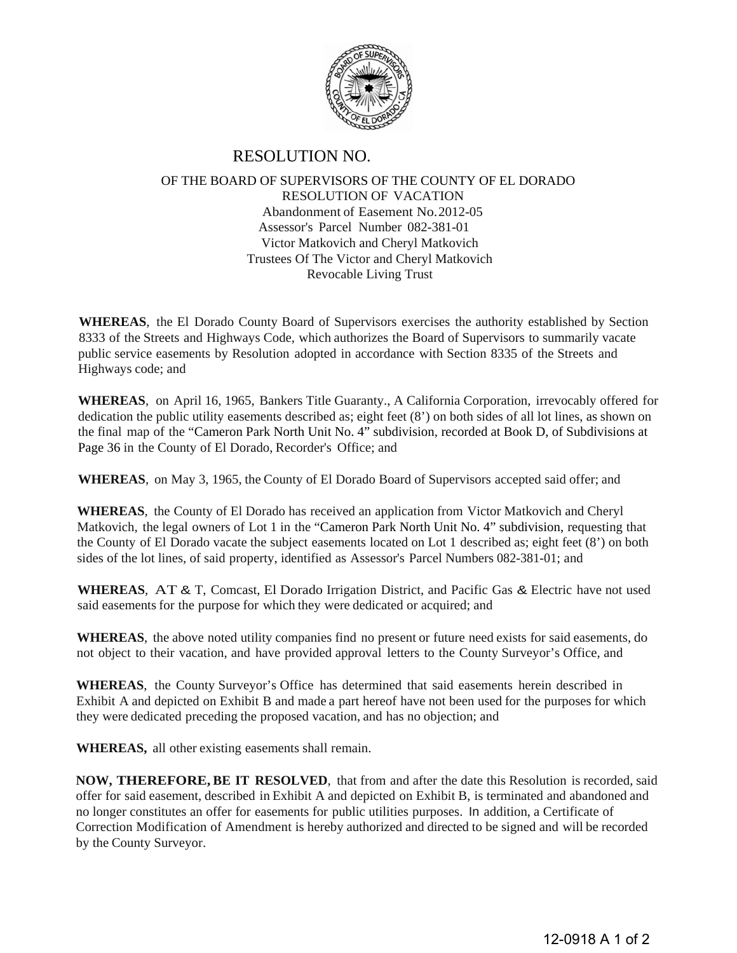

## RESOLUTION NO.

## OF THE BOARD OF SUPERVISORS OF THE COUNTY OF EL DORADO RESOLUTION OF VACATION Abandonment of Easement No. 2012-05 Assessor's Parcel Number 082-381-01 Victor Matkovich and Cheryl Matkovich Trustees Of The Victor and Cheryl Matkovich Revocable Living Trust

**WHEREAS**, the El Dorado County Board of Supervisors exercises the authority established by Section 8333 of the Streets and Highways Code, which authorizes the Board of Supervisors to summarily vacate public service easements by Resolution adopted in accordance with Section 8335 of the Streets and Highways code; and

**WHEREAS**, on April 16, 1965, Bankers Title Guaranty., A California Corporation, irrevocably offered for dedication the public utility easements described as; eight feet (8') on both sides of all lot lines, as shown on the final map of the "Cameron Park North Unit No. 4" subdivision, recorded at Book D, of Subdivisions at Page 36 in the County of El Dorado, Recorder's Office; and

**WHEREAS**, on May 3, 1965, the County of El Dorado Board of Supervisors accepted said offer; and

**WHEREAS**, the County of El Dorado has received an application from Victor Matkovich and Cheryl Matkovich, the legal owners of Lot 1 in the "Cameron Park North Unit No. 4" subdivision, requesting that the County of El Dorado vacate the subject easements located on Lot 1 described as; eight feet (8') on both sides of the lot lines, of said property, identified as Assessor's Parcel Numbers 082-381-01; and

**WHEREAS**, AT & T, Comcast, El Dorado Irrigation District, and Pacific Gas & Electric have not used said easements for the purpose for which they were dedicated or acquired; and

**WHEREAS**, the above noted utility companies find no present or future need exists for said easements, do not object to their vacation, and have provided approval letters to the County Surveyor's Office, and

**WHEREAS**, the County Surveyor's Office has determined that said easements herein described in Exhibit A and depicted on Exhibit B and made a part hereof have not been used for the purposes for which they were dedicated preceding the proposed vacation, and has no objection; and

**WHEREAS,** all other existing easements shall remain.

**NOW, THEREFORE, BE IT RESOLVED**, that from and after the date this Resolution is recorded, said offer for said easement, described in Exhibit A and depicted on Exhibit B, is terminated and abandoned and no longer constitutes an offer for easements for public utilities purposes. In addition, a Certificate of Correction Modification of Amendment is hereby authorized and directed to be signed and will be recorded by the County Surveyor.